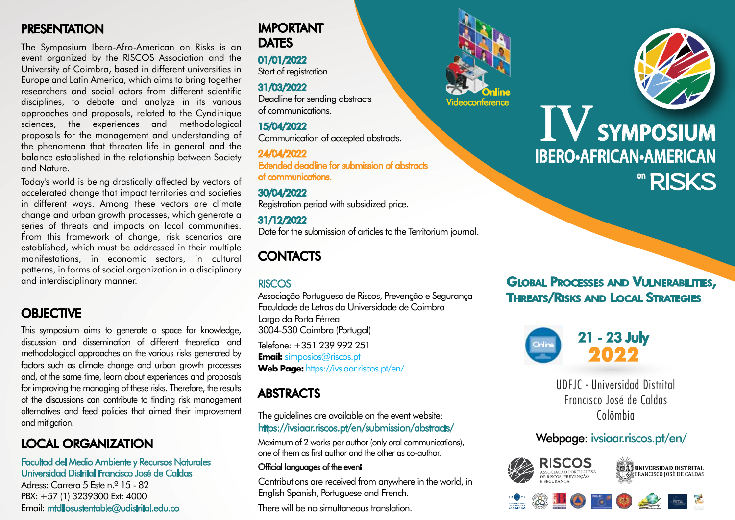# **PRESENTATION**

The Symposium Ibero-Afro-American on Risks is an event organized by the RISCOS Association and the University of Coimbra, based in different universities in Europe and Latin America, which aims to bring together researchers and social actors from different scientific disciplines, to debate and analyze in its various approaches and proposals, related to the Cyndinique sciences, the experiences and methodological proposals for the management and understanding of the phenomena that threaten life in general and the balance established in the relationship between Society and Nature.

Today's world is being drastically affected by vectors of accelerated change that impact territories and societies in different ways. Among these vectors are climate change and urban growth processes, which generate a series of threats and impacts on local communities. From this framework of change, risk scenarios are established, which must be addressed in their multiple manifestations, in economic sectors, in cultural patterns, in forms of social organization in a disciplinary and interdisciplinary manner.

# **OBJECTIVE**

This symposium aims to generate a space for knowledge, discussion and dissemination of different theoretical and methodological approaches on the various risks generated by factors such as climate change and urban growth processes and, at the same time, learn about experiences and proposals for improving the managing of these risks. Therefore, the results of the discussions can contribute to finding risk management alternatives and feed policies that aimed their improvement and mitigation.

# LOCAL ORGANIZATION

#### Facultad del Medio Ambiente y Recursos Naturales Universidad Distrital Francisco José de Caldas Adress: Carrera 5 Este n.º 15 - 82 PBX: +57 (1) 3239300 Ext: 4000 Email: mtdllosustentable@udistrital.edu.co

# IMPORTANT **DATES**

01/01/2022 Start of reaistration.

31/03/2022 Deadline for sending abstracts of communications.

15/04/2022 Communication of accepted abstracts.

24/04/2022 Extended deadline for submission of abstracts of communications.

30/04/2022 Registration period with subsidized price.

31/12/2022 Date for the submission of articles to the Territorium journal.

# **CONTACTS**

### RISCOS

Associação Portuguesa de Riscos, Prevenção e Segurança Faculdade de Letras da Universidade de Coimbra Largo da Porta Férrea 3004-530 Coimbra (Portugal) Telefone: +351 239 992 251 **Email:** simposios@riscos.pt Web Page: https://ivsiaar.riscos.pt/en/

# **ABSTRACTS**

The guidelines are available on the event website: https://ivsiaar.riscos.pt/en/submission/abstracts/

Maximum of 2 works per author (only oral communications), one of them as first author and the other as co-author.

#### Official languages of the event

Contributions are received from anywhere in the world, in English Spanish, Portuguese and French.

There will be no simultaneous translation.





# IV **SYMPOSIUM IBERO•AFRICAN•AMERICAN** RISKS **on**

GLOBAL PROCESSES AND VULNERABILITIES, THREATS/RISKS AND LOCAL STRATEGIES



UDFJC - Universidad Distrital Francisco José de Caldas Colômbia

## Webpage: ivsiaar.riscos.pt/en/